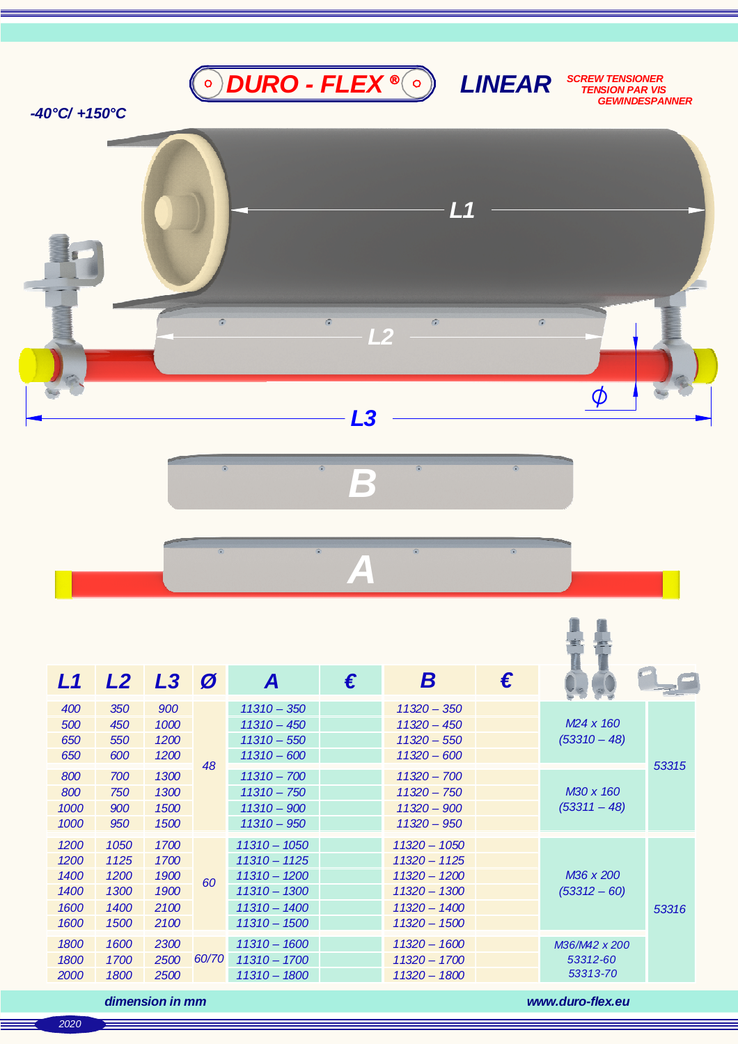**TENSION PAR VIS DURO - FLEX ® LINEAR**

**SCREW TENSIONER TENSION PAR VIS<br>GEWINDESPANNER** 

**-40°C/ +150°C**





| L1   | L2   | $L3$ $\varnothing$ |       | A              | € | Β              | € |                             |       |
|------|------|--------------------|-------|----------------|---|----------------|---|-----------------------------|-------|
| 400  | 350  | 900                | 48    | $11310 - 350$  |   | $11320 - 350$  |   |                             |       |
| 500  | 450  | 1000               |       | $11310 - 450$  |   | $11320 - 450$  |   | M <sub>24</sub> x 160       |       |
| 650  | 550  | 1200               |       | $11310 - 550$  |   | $11320 - 550$  |   | $(53310 - 48)$              |       |
| 650  | 600  | 1200               |       | $11310 - 600$  |   | $11320 - 600$  |   |                             |       |
| 800  | 700  | 1300               |       | $11310 - 700$  |   | $11320 - 700$  |   | M30 x 160<br>$(53311 - 48)$ | 53315 |
| 800  | 750  | 1300               |       | $11310 - 750$  |   | $11320 - 750$  |   |                             |       |
| 1000 | 900  | 1500               |       | $11310 - 900$  |   | $11320 - 900$  |   |                             |       |
| 1000 | 950  | 1500               |       | $11310 - 950$  |   | $11320 - 950$  |   |                             |       |
| 1200 | 1050 | 1700               | 60    | $11310 - 1050$ |   | $11320 - 1050$ |   | M36 x 200<br>$(53312 - 60)$ |       |
| 1200 | 1125 | 1700               |       | $11310 - 1125$ |   | $11320 - 1125$ |   |                             | 53316 |
| 1400 | 1200 | 1900               |       | $11310 - 1200$ |   | $11320 - 1200$ |   |                             |       |
| 1400 | 1300 | 1900               |       | $11310 - 1300$ |   | $11320 - 1300$ |   |                             |       |
| 1600 | 1400 | 2100               |       | $11310 - 1400$ |   | $11320 - 1400$ |   |                             |       |
| 1600 | 1500 | 2100               |       | $11310 - 1500$ |   | $11320 - 1500$ |   |                             |       |
| 1800 | 1600 | 2300               | 60/70 | $11310 - 1600$ |   | $11320 - 1600$ |   | M36/M42 x 200               |       |
| 1800 | 1700 | 2500               |       | $11310 - 1700$ |   | $11320 - 1700$ |   | 53312-60                    |       |
| 2000 | 1800 | 2500               |       | $11310 - 1800$ |   | 11320 - 1800   |   | 53313-70                    |       |

**dimension in mm www.duro-flex.eu**